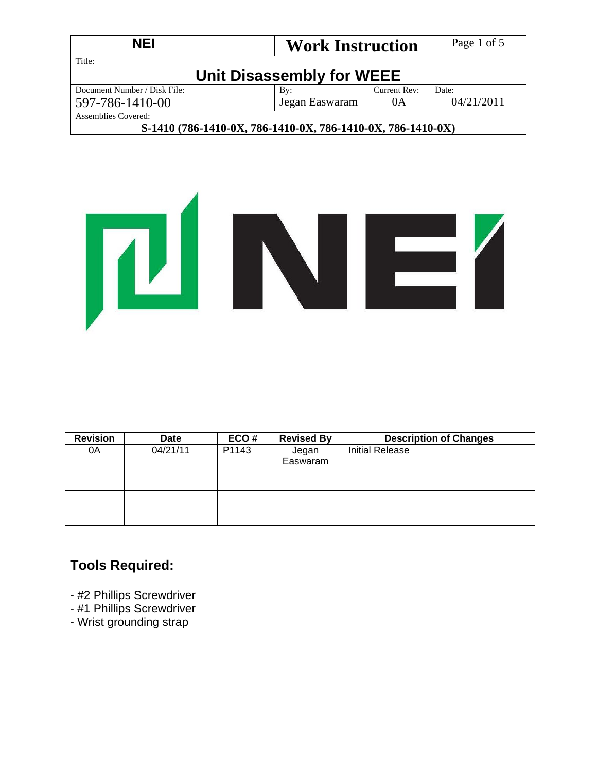| <b>NEI</b>                                                                                | <b>Work Instruction</b>   |              | Page 1 of 5 |
|-------------------------------------------------------------------------------------------|---------------------------|--------------|-------------|
| Title:                                                                                    | Unit Disassembly for WEEE |              |             |
| Document Number / Disk File:                                                              | $\mathbf{B}v$ :           | Current Rev: | Date:       |
| 597-786-1410-00                                                                           | Jegan Easwaram            | 0A           | 04/21/2011  |
| Assemblies Covered:<br>O 4 440 / FOX 4 440 057 FOX 4 440 057 FOX 4 440 057 FOX 4 440 057) |                           |              |             |

## **S-1410 (786-1410-0X, 786-1410-0X, 786-1410-0X, 786-1410-0X)**



| <b>Revision</b> | <b>Date</b> | ECO#  | <b>Revised By</b> | <b>Description of Changes</b> |
|-----------------|-------------|-------|-------------------|-------------------------------|
| 0A              | 04/21/11    | P1143 | Jegan             | <b>Initial Release</b>        |
|                 |             |       | Easwaram          |                               |
|                 |             |       |                   |                               |
|                 |             |       |                   |                               |
|                 |             |       |                   |                               |
|                 |             |       |                   |                               |
|                 |             |       |                   |                               |

## **Tools Required:**

- #2 Phillips Screwdriver
- #1 Phillips Screwdriver
- Wrist grounding strap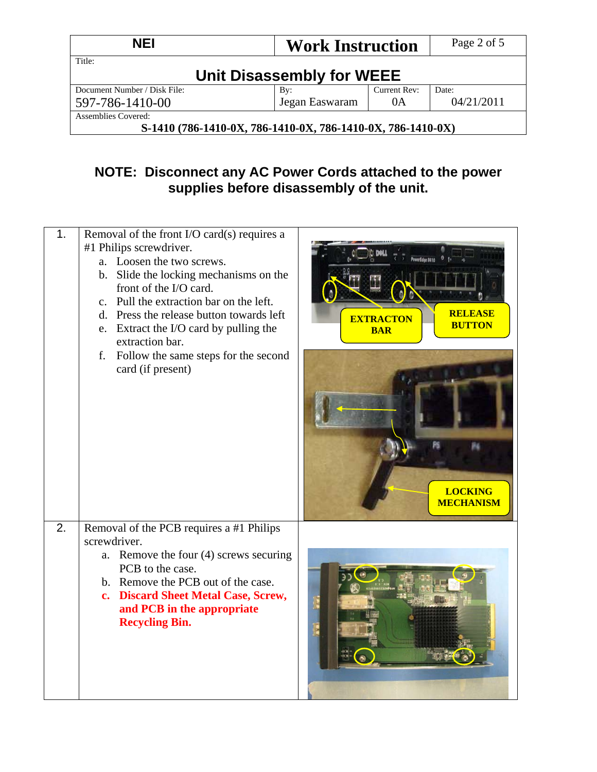| <b>NEI</b>                                                  | <b>Work Instruction</b>   |              | Page 2 of 5 |
|-------------------------------------------------------------|---------------------------|--------------|-------------|
| Title:                                                      | Unit Disassembly for WEEE |              |             |
| Document Number / Disk File:                                | By:                       | Current Rev: | Date:       |
| Jegan Easwaram<br>04/21/2011<br>0A<br>597-786-1410-00       |                           |              |             |
| <b>Assemblies Covered:</b>                                  |                           |              |             |
| S-1410 (786-1410-0X, 786-1410-0X, 786-1410-0X, 786-1410-0X) |                           |              |             |

# **NOTE: Disconnect any AC Power Cords attached to the power supplies before disassembly of the unit.**

| 1. | Removal of the front I/O card(s) requires a<br>#1 Philips screwdriver.<br>a. Loosen the two screws.<br>b. Slide the locking mechanisms on the<br>front of the I/O card.<br>c. Pull the extraction bar on the left.<br>d. Press the release button towards left<br>e. Extract the I/O card by pulling the<br>extraction bar.<br>f. Follow the same steps for the second<br>card (if present) | <b>RELEASE</b><br><b>EXTRACTON</b><br><b>BUTTON</b><br><b>BAR</b><br><b>LOCKING</b><br><b>MECHANISM</b> |
|----|---------------------------------------------------------------------------------------------------------------------------------------------------------------------------------------------------------------------------------------------------------------------------------------------------------------------------------------------------------------------------------------------|---------------------------------------------------------------------------------------------------------|
| 2. | Removal of the PCB requires a #1 Philips<br>screwdriver.<br>a. Remove the four (4) screws securing<br>PCB to the case.<br>b. Remove the PCB out of the case.<br>c. Discard Sheet Metal Case, Screw,<br>and PCB in the appropriate<br><b>Recycling Bin.</b>                                                                                                                                  |                                                                                                         |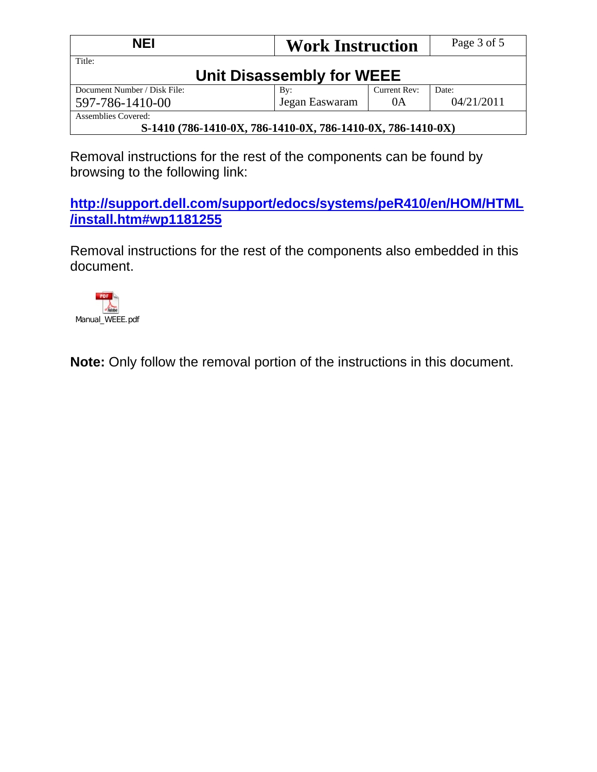| <b>NEI</b>                                                  | <b>Work Instruction</b>   |              | Page 3 of 5 |
|-------------------------------------------------------------|---------------------------|--------------|-------------|
| Title:                                                      | Unit Disassembly for WEEE |              |             |
| Document Number / Disk File:                                | By:                       | Current Rev: | Date:       |
| Jegan Easwaram<br>04/21/2011<br>0A<br>597-786-1410-00       |                           |              |             |
| Assemblies Covered:                                         |                           |              |             |
| S-1410 (786-1410-0X, 786-1410-0X, 786-1410-0X, 786-1410-0X) |                           |              |             |

Removal instructions for the rest of the components can be found by browsing to the following link:

**http://support.dell.com/support/edocs/systems/peR410/en/HOM/HTML /install.htm#wp1181255**

Removal instructions for the rest of the components also embedded in this document.



**Note:** Only follow the removal portion of the instructions in this document.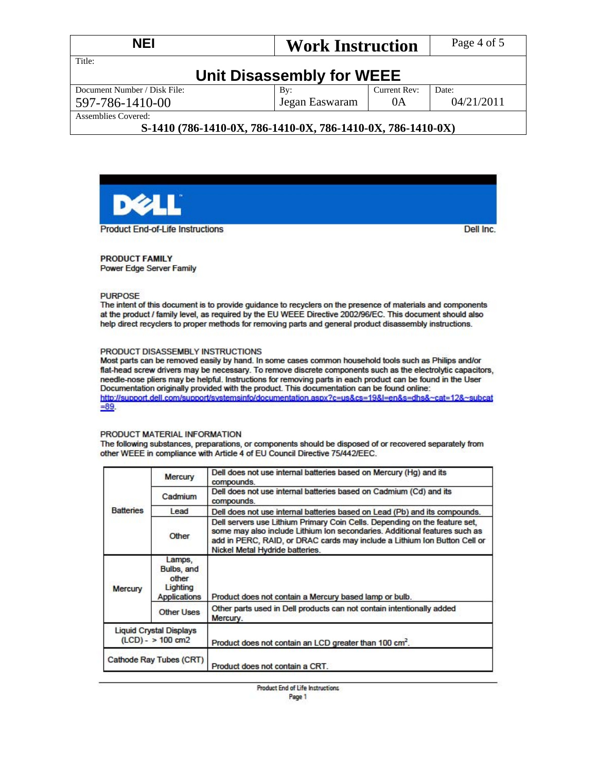| <b>NEI</b>                   | <b>Work Instruction</b>   |              | Page 4 of 5 |
|------------------------------|---------------------------|--------------|-------------|
| Title:                       |                           |              |             |
|                              | Unit Disassembly for WEEE |              |             |
| Document Number / Disk File: | $\mathbf{B}v$ :           | Current Rev: | Date:       |
| 597-786-1410-00              | Jegan Easwaram            | 0A           | 04/21/2011  |
| <b>Assemblies Covered:</b>   |                           |              |             |

### S-1410 (786-1410-0X, 786-1410-0X, 786-1410-0X, 786-1410-0X)



**PRODUCT FAMILY** Power Edge Server Family

**PURPOSE** 

The intent of this document is to provide guidance to recyclers on the presence of materials and components at the product / family level, as required by the EU WEEE Directive 2002/96/EC. This document should also help direct recyclers to proper methods for removing parts and general product disassembly instructions.

#### PRODUCT DISASSEMBLY INSTRUCTIONS

Most parts can be removed easily by hand. In some cases common household tools such as Philips and/or flat-head screw drivers may be necessary. To remove discrete components such as the electrolytic capacitors, needle-nose pliers may be helpful. Instructions for removing parts in each product can be found in the User Documentation originally provided with the product. This documentation can be found online: http://support.dell.com/support/systemsinfo/documentation.aspx?c=us&cs=19&l=en&s=dhs&~cat=12&~subcat  $= 89.$ 

#### PRODUCT MATERIAL INFORMATION

The following substances, preparations, or components should be disposed of or recovered separately from other WEEE in compliance with Article 4 of EU Council Directive 75/442/EEC.

| Mercury           |                                                           | Dell does not use internal batteries based on Mercury (Hq) and its<br>compounds.                                                                                                                                                                                         |
|-------------------|-----------------------------------------------------------|--------------------------------------------------------------------------------------------------------------------------------------------------------------------------------------------------------------------------------------------------------------------------|
|                   | Cadmium                                                   | Dell does not use internal batteries based on Cadmium (Cd) and its<br>compounds.                                                                                                                                                                                         |
| <b>Batteries</b>  | Lead                                                      | Dell does not use internal batteries based on Lead (Pb) and its compounds.                                                                                                                                                                                               |
|                   | Other                                                     | Dell servers use Lithium Primary Coin Cells. Depending on the feature set,<br>some may also include Lithium Ion secondaries. Additional features such as<br>add in PERC, RAID, or DRAC cards may include a Lithium Ion Button Cell or<br>Nickel Metal Hydride batteries. |
| <b>Mercury</b>    | Lamps,<br>Bulbs, and<br>other<br>Lighting<br>Applications | Product does not contain a Mercury based lamp or bulb.                                                                                                                                                                                                                   |
| <b>Other Uses</b> |                                                           | Other parts used in Dell products can not contain intentionally added<br>Mercury.                                                                                                                                                                                        |
|                   | <b>Liquid Crystal Displays</b><br>$(LCD) - > 100$ cm2     | Product does not contain an LCD greater than 100 cm <sup>2</sup> .                                                                                                                                                                                                       |
|                   | Cathode Ray Tubes (CRT)                                   | Product does not contain a CRT.                                                                                                                                                                                                                                          |